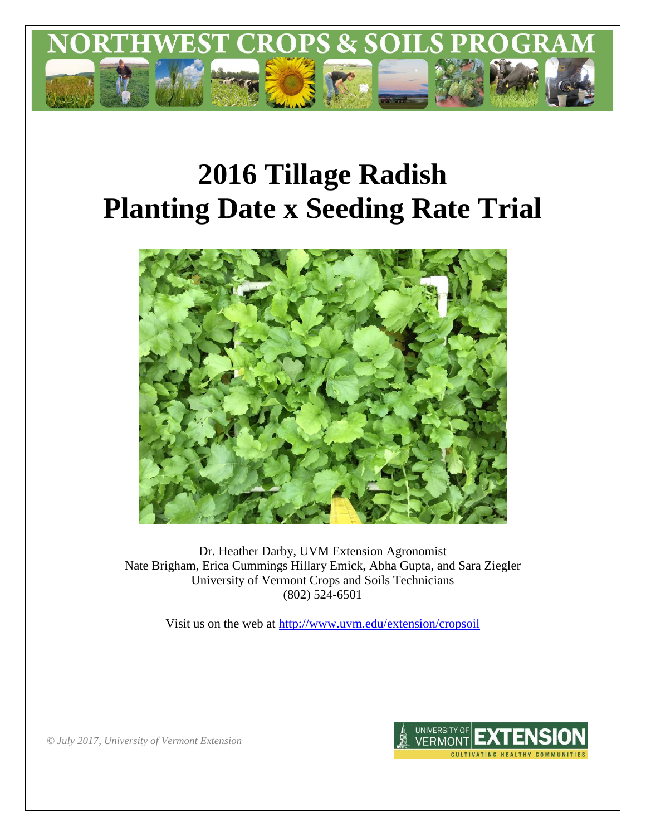

# **2016 Tillage Radish Planting Date x Seeding Rate Trial**



Dr. Heather Darby, UVM Extension Agronomist Nate Brigham, Erica Cummings Hillary Emick, Abha Gupta, and Sara Ziegler University of Vermont Crops and Soils Technicians (802) 524-6501

Visit us on the web at<http://www.uvm.edu/extension/cropsoil>



*© July 2017, University of Vermont Extension*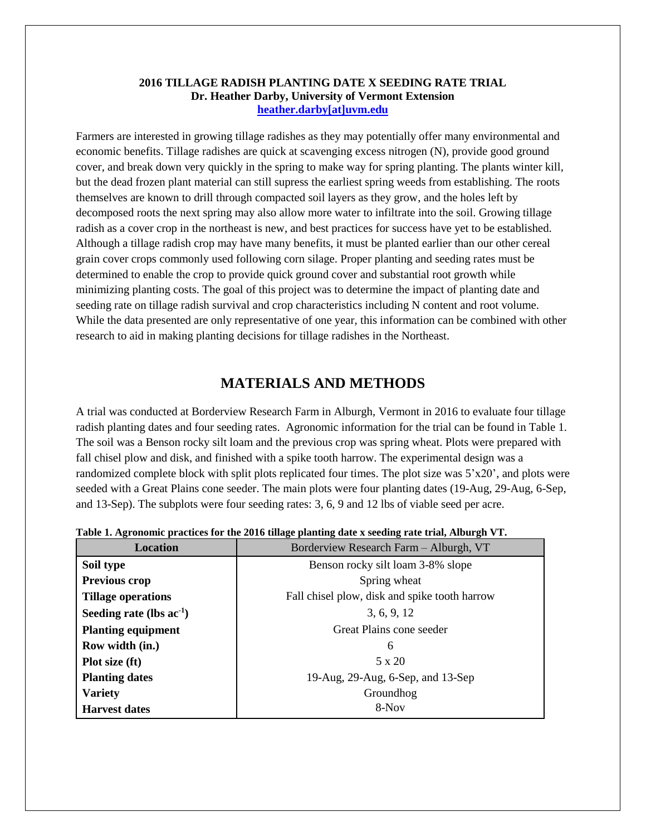## **2016 TILLAGE RADISH PLANTING DATE X SEEDING RATE TRIAL Dr. Heather Darby, University of Vermont Extension [heather.darby\[at\]uvm.edu](mailto:Heather.Darby@uvm.edu?subject=2012%20Winter%20Canola%20Planting%20Date%20Trial)**

Farmers are interested in growing tillage radishes as they may potentially offer many environmental and economic benefits. Tillage radishes are quick at scavenging excess nitrogen (N), provide good ground cover, and break down very quickly in the spring to make way for spring planting. The plants winter kill, but the dead frozen plant material can still supress the earliest spring weeds from establishing. The roots themselves are known to drill through compacted soil layers as they grow, and the holes left by decomposed roots the next spring may also allow more water to infiltrate into the soil. Growing tillage radish as a cover crop in the northeast is new, and best practices for success have yet to be established. Although a tillage radish crop may have many benefits, it must be planted earlier than our other cereal grain cover crops commonly used following corn silage. Proper planting and seeding rates must be determined to enable the crop to provide quick ground cover and substantial root growth while minimizing planting costs. The goal of this project was to determine the impact of planting date and seeding rate on tillage radish survival and crop characteristics including N content and root volume. While the data presented are only representative of one year, this information can be combined with other research to aid in making planting decisions for tillage radishes in the Northeast.

## **MATERIALS AND METHODS**

A trial was conducted at Borderview Research Farm in Alburgh, Vermont in 2016 to evaluate four tillage radish planting dates and four seeding rates. Agronomic information for the trial can be found in Table 1. The soil was a Benson rocky silt loam and the previous crop was spring wheat. Plots were prepared with fall chisel plow and disk, and finished with a spike tooth harrow. The experimental design was a randomized complete block with split plots replicated four times. The plot size was 5'x20', and plots were seeded with a Great Plains cone seeder. The main plots were four planting dates (19-Aug, 29-Aug, 6-Sep, and 13-Sep). The subplots were four seeding rates: 3, 6, 9 and 12 lbs of viable seed per acre.

| <b>Location</b>               | Borderview Research Farm - Alburgh, VT        |  |  |
|-------------------------------|-----------------------------------------------|--|--|
| Soil type                     | Benson rocky silt loam 3-8% slope             |  |  |
| Previous crop                 | Spring wheat                                  |  |  |
| <b>Tillage operations</b>     | Fall chisel plow, disk and spike tooth harrow |  |  |
| Seeding rate (lbs $ac^{-1}$ ) | 3, 6, 9, 12                                   |  |  |
| <b>Planting equipment</b>     | Great Plains cone seeder                      |  |  |
| Row width (in.)               | 6                                             |  |  |
| Plot size (ft)                | $5 \times 20$                                 |  |  |
| <b>Planting dates</b>         | 19-Aug, 29-Aug, 6-Sep, and 13-Sep             |  |  |
| <b>Variety</b>                | Groundhog                                     |  |  |
| <b>Harvest dates</b>          | $8-Nov$                                       |  |  |

**Table 1. Agronomic practices for the 2016 tillage planting date x seeding rate trial, Alburgh VT.**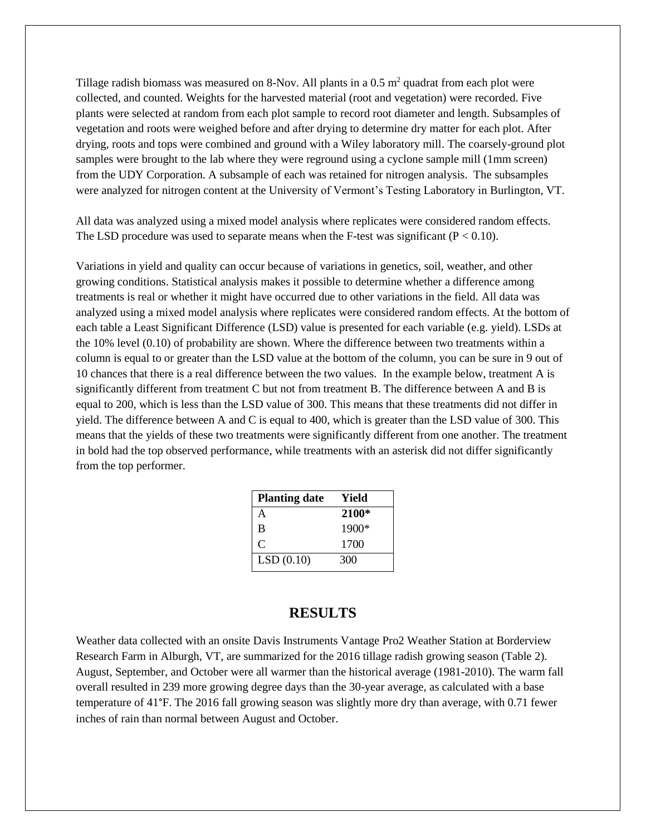Tillage radish biomass was measured on 8-Nov. All plants in a  $0.5 \text{ m}^2$  quadrat from each plot were collected, and counted. Weights for the harvested material (root and vegetation) were recorded. Five plants were selected at random from each plot sample to record root diameter and length. Subsamples of vegetation and roots were weighed before and after drying to determine dry matter for each plot. After drying, roots and tops were combined and ground with a Wiley laboratory mill. The coarsely-ground plot samples were brought to the lab where they were reground using a cyclone sample mill (1mm screen) from the UDY Corporation. A subsample of each was retained for nitrogen analysis. The subsamples were analyzed for nitrogen content at the University of Vermont's Testing Laboratory in Burlington, VT.

All data was analyzed using a mixed model analysis where replicates were considered random effects. The LSD procedure was used to separate means when the F-test was significant  $(P < 0.10)$ .

Variations in yield and quality can occur because of variations in genetics, soil, weather, and other growing conditions. Statistical analysis makes it possible to determine whether a difference among treatments is real or whether it might have occurred due to other variations in the field. All data was analyzed using a mixed model analysis where replicates were considered random effects. At the bottom of each table a Least Significant Difference (LSD) value is presented for each variable (e.g. yield). LSDs at the 10% level (0.10) of probability are shown. Where the difference between two treatments within a column is equal to or greater than the LSD value at the bottom of the column, you can be sure in 9 out of 10 chances that there is a real difference between the two values. In the example below, treatment A is significantly different from treatment C but not from treatment B. The difference between A and B is equal to 200, which is less than the LSD value of 300. This means that these treatments did not differ in yield. The difference between A and C is equal to 400, which is greater than the LSD value of 300. This means that the yields of these two treatments were significantly different from one another. The treatment in bold had the top observed performance, while treatments with an asterisk did not differ significantly from the top performer.

| Yield |
|-------|
| 2100* |
| 1900* |
| 1700  |
| 300   |
|       |

## **RESULTS**

Weather data collected with an onsite Davis Instruments Vantage Pro2 Weather Station at Borderview Research Farm in Alburgh, VT, are summarized for the 2016 tillage radish growing season (Table 2). August, September, and October were all warmer than the historical average (1981-2010). The warm fall overall resulted in 239 more growing degree days than the 30-year average, as calculated with a base temperature of 41°F. The 2016 fall growing season was slightly more dry than average, with 0.71 fewer inches of rain than normal between August and October.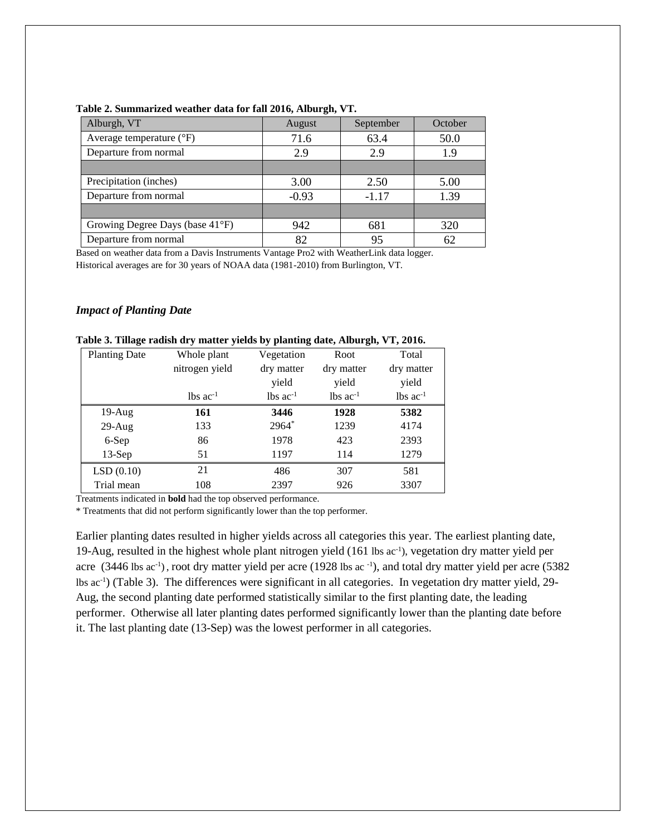| Alburgh, VT                       | August  | September | October |
|-----------------------------------|---------|-----------|---------|
| Average temperature $(^{\circ}F)$ | 71.6    | 63.4      | 50.0    |
| Departure from normal             | 2.9     | 2.9       | 1.9     |
|                                   |         |           |         |
| Precipitation (inches)            | 3.00    | 2.50      | 5.00    |
| Departure from normal             | $-0.93$ | $-1.17$   | 1.39    |
|                                   |         |           |         |
| Growing Degree Days (base 41°F)   | 942     | 681       | 320     |
| Departure from normal             | 82      | 95        | 62      |

#### **Table 2. Summarized weather data for fall 2016, Alburgh, VT.**

Based on weather data from a Davis Instruments Vantage Pro2 with WeatherLink data logger. Historical averages are for 30 years of NOAA data (1981-2010) from Burlington, VT.

## *Impact of Planting Date*

| Tabit 5. Tinage raußn ur y matter ynnus by pianting uate, Alburgii, VI, 2010. |                        |                        |                        |                        |
|-------------------------------------------------------------------------------|------------------------|------------------------|------------------------|------------------------|
| <b>Planting Date</b>                                                          | Whole plant            | Vegetation             | Root                   | Total                  |
|                                                                               | nitrogen yield         | dry matter             | dry matter             | dry matter             |
|                                                                               |                        | yield                  | yield                  | yield                  |
|                                                                               | $lbs$ ac <sup>-1</sup> | $lbs$ ac <sup>-1</sup> | $lbs$ ac <sup>-1</sup> | $lbs$ ac <sup>-1</sup> |
| $19-Aug$                                                                      | 161                    | 3446                   | 1928                   | 5382                   |
| $29$ -Aug                                                                     | 133                    | $2964*$                | 1239                   | 4174                   |
| 6-Sep                                                                         | 86                     | 1978                   | 423                    | 2393                   |
| $13-Sep$                                                                      | 51                     | 1197                   | 114                    | 1279                   |
| LSD(0.10)                                                                     | 21                     | 486                    | 307                    | 581                    |
| Trial mean                                                                    | 108                    | 2397                   | 926                    | 3307                   |

# **Table 3. Tillage radish dry matter yields by planting date, Alburgh, VT, 2016.**

Treatments indicated in **bold** had the top observed performance.

\* Treatments that did not perform significantly lower than the top performer.

Earlier planting dates resulted in higher yields across all categories this year. The earliest planting date, 19-Aug, resulted in the highest whole plant nitrogen yield (161 lbs ac-1 ), vegetation dry matter yield per acre (3446 lbs ac<sup>-1</sup>), root dry matter yield per acre (1928 lbs ac<sup>-1</sup>), and total dry matter yield per acre (5382 lbs ac-1 ) (Table 3). The differences were significant in all categories. In vegetation dry matter yield, 29- Aug, the second planting date performed statistically similar to the first planting date, the leading performer. Otherwise all later planting dates performed significantly lower than the planting date before it. The last planting date (13-Sep) was the lowest performer in all categories.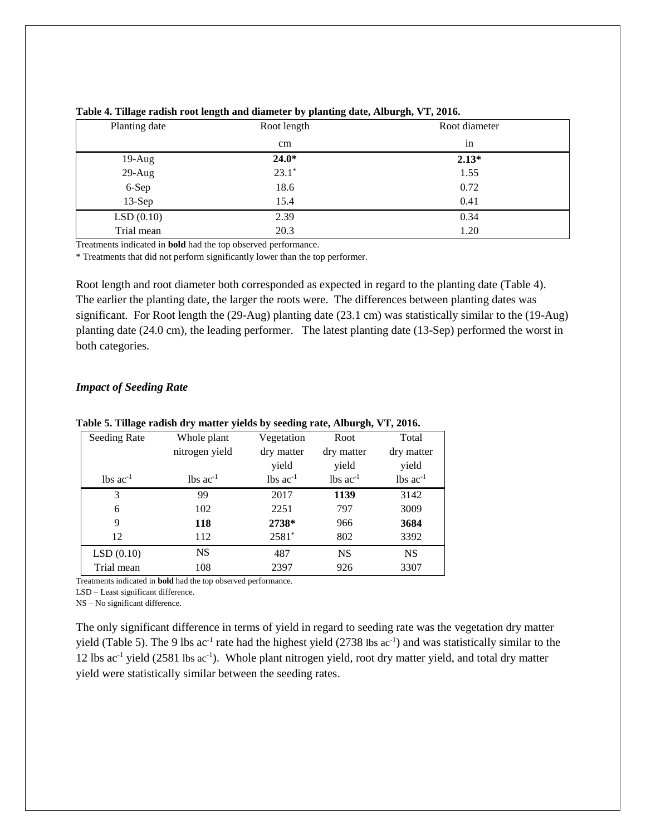| Planting date | Root length | Root diameter |
|---------------|-------------|---------------|
|               | cm          | in            |
| $19-Aug$      | $24.0*$     | $2.13*$       |
| $29-Aug$      | $23.1*$     | 1.55          |
| 6-Sep         | 18.6        | 0.72          |
| $13-Sep$      | 15.4        | 0.41          |
| LSD(0.10)     | 2.39        | 0.34          |
| Trial mean    | 20.3        | 1.20          |

| Table 4. Tillage radish root length and diameter by planting date, Alburgh, VT, 2016. |  |  |  |
|---------------------------------------------------------------------------------------|--|--|--|
|                                                                                       |  |  |  |

Treatments indicated in **bold** had the top observed performance.

\* Treatments that did not perform significantly lower than the top performer.

Root length and root diameter both corresponded as expected in regard to the planting date (Table 4). The earlier the planting date, the larger the roots were. The differences between planting dates was significant. For Root length the (29-Aug) planting date (23.1 cm) was statistically similar to the (19-Aug) planting date (24.0 cm), the leading performer. The latest planting date (13-Sep) performed the worst in both categories.

### *Impact of Seeding Rate*

| Seeding Rate           | Whole plant            | Vegetation             | Root                   | Total                  |
|------------------------|------------------------|------------------------|------------------------|------------------------|
|                        | nitrogen yield         | dry matter             | dry matter             | dry matter             |
|                        |                        | yield                  | yield                  | yield                  |
| $lbs$ ac <sup>-1</sup> | $lbs$ ac <sup>-1</sup> | $lbs$ ac <sup>-1</sup> | $lbs$ ac <sup>-1</sup> | $lbs$ ac <sup>-1</sup> |
| 3                      | 99                     | 2017                   | 1139                   | 3142                   |
| 6                      | 102                    | 2251                   | 797                    | 3009                   |
| 9                      | 118                    | 2738*                  | 966                    | 3684                   |
| 12                     | 112                    | $2581*$                | 802                    | 3392                   |
| LSD(0.10)              | NS                     | 487                    | <b>NS</b>              | <b>NS</b>              |
| Trial mean             | 108                    | 2397                   | 926                    | 3307                   |
|                        |                        |                        |                        |                        |

**Table 5. Tillage radish dry matter yields by seeding rate, Alburgh, VT, 2016.**

Treatments indicated in **bold** had the top observed performance.

LSD – Least significant difference.

NS – No significant difference.

The only significant difference in terms of yield in regard to seeding rate was the vegetation dry matter yield (Table 5). The 9 lbs  $ac^{-1}$  rate had the highest yield (2738 lbs  $ac^{-1}$ ) and was statistically similar to the 12 lbs ac<sup>-1</sup> yield (2581 lbs ac<sup>-1</sup>). Whole plant nitrogen yield, root dry matter yield, and total dry matter yield were statistically similar between the seeding rates.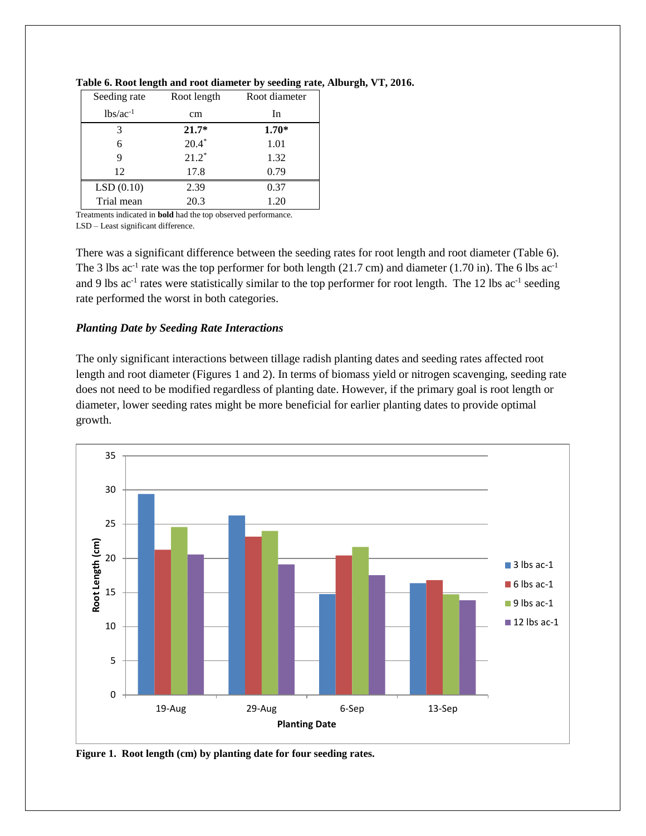| Seeding rate  | Root length | Root diameter |
|---------------|-------------|---------------|
| $lbs/ac^{-1}$ | cm          | In            |
| 3             | $21.7*$     | $1.70*$       |
| 6             | $20.4*$     | 1.01          |
| 9             | $21.2*$     | 1.32          |
| 12            | 17.8        | 0.79          |
| LSD(0.10)     | 2.39        | 0.37          |
| Trial mean    | 20.3        | 1.20          |

### **Table 6. Root length and root diameter by seeding rate, Alburgh, VT, 2016.**

Treatments indicated in **bold** had the top observed performance. LSD – Least significant difference.

There was a significant difference between the seeding rates for root length and root diameter (Table 6). The 3 lbs ac<sup>-1</sup> rate was the top performer for both length (21.7 cm) and diameter (1.70 in). The 6 lbs ac<sup>-1</sup> and 9 lbs  $ac^{-1}$  rates were statistically similar to the top performer for root length. The 12 lbs  $ac^{-1}$  seeding rate performed the worst in both categories.

## *Planting Date by Seeding Rate Interactions*

The only significant interactions between tillage radish planting dates and seeding rates affected root length and root diameter (Figures 1 and 2). In terms of biomass yield or nitrogen scavenging, seeding rate does not need to be modified regardless of planting date. However, if the primary goal is root length or diameter, lower seeding rates might be more beneficial for earlier planting dates to provide optimal growth.



**Figure 1. Root length (cm) by planting date for four seeding rates.**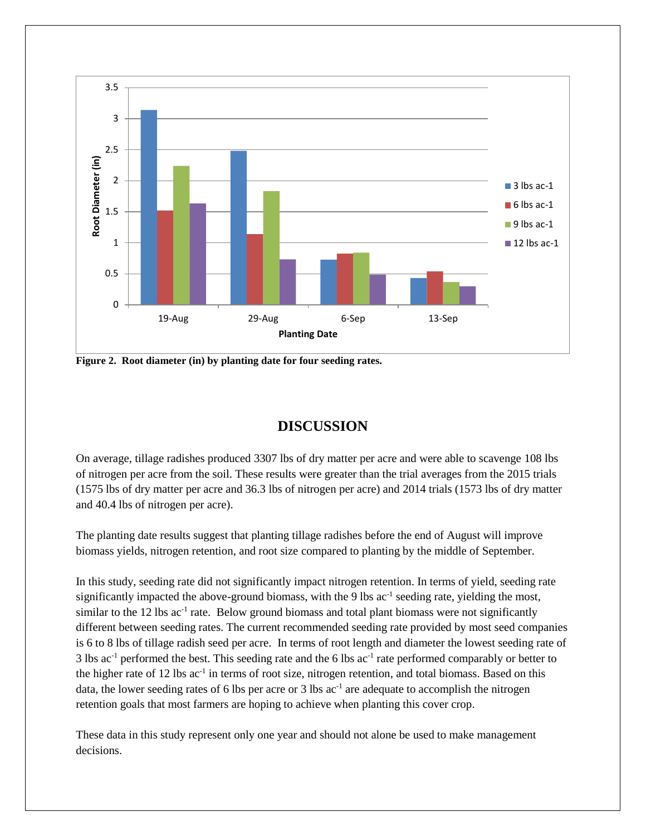

**Figure 2. Root diameter (in) by planting date for four seeding rates.**

## **DISCUSSION**

On average, tillage radishes produced 3307 lbs of dry matter per acre and were able to scavenge 108 lbs of nitrogen per acre from the soil. These results were greater than the trial averages from the 2015 trials (1575 lbs of dry matter per acre and 36.3 lbs of nitrogen per acre) and 2014 trials (1573 lbs of dry matter and 40.4 lbs of nitrogen per acre).

The planting date results suggest that planting tillage radishes before the end of August will improve biomass yields, nitrogen retention, and root size compared to planting by the middle of September.

In this study, seeding rate did not significantly impact nitrogen retention. In terms of yield, seeding rate significantly impacted the above-ground biomass, with the 9 lbs  $ac^{-1}$  seeding rate, yielding the most, similar to the 12 lbs ac<sup>-1</sup> rate. Below ground biomass and total plant biomass were not significantly different between seeding rates. The current recommended seeding rate provided by most seed companies is 6 to 8 lbs of tillage radish seed per acre. In terms of root length and diameter the lowest seeding rate of 3 lbs  $ac^{-1}$  performed the best. This seeding rate and the 6 lbs  $ac^{-1}$  rate performed comparably or better to the higher rate of 12 lbs ac<sup>-1</sup> in terms of root size, nitrogen retention, and total biomass. Based on this data, the lower seeding rates of 6 lbs per acre or 3 lbs ac<sup>-1</sup> are adequate to accomplish the nitrogen retention goals that most farmers are hoping to achieve when planting this cover crop.

These data in this study represent only one year and should not alone be used to make management decisions.